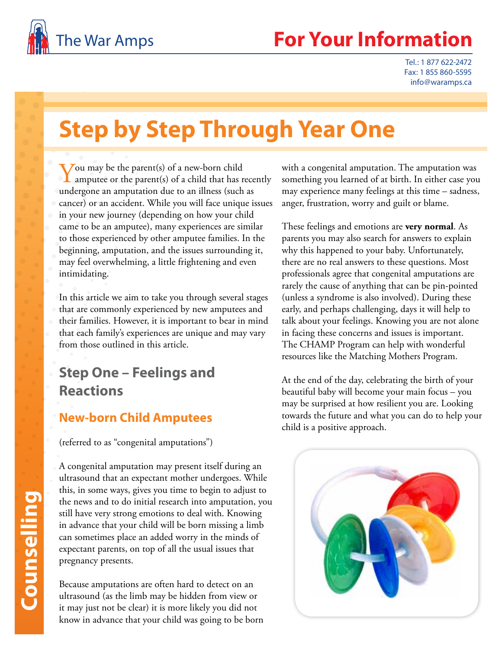

Tel.: 1 877 622-2472 Fax: 1 855 860-5595 info@waramps.ca

# **Step by Step Through Year One**

You may be the parent(s) of a new-born child amputee or the parent(s) of a child that has recently undergone an amputation due to an illness (such as cancer) or an accident. While you will face unique issues in your new journey (depending on how your child came to be an amputee), many experiences are similar to those experienced by other amputee families. In the beginning, amputation, and the issues surrounding it, may feel overwhelming, a little frightening and even intimidating.

In this article we aim to take you through several stages that are commonly experienced by new amputees and their families. However, it is important to bear in mind that each family's experiences are unique and may vary from those outlined in this article.

### **Step One – Feelings and Reactions**

#### **New-born Child Amputees**

(referred to as "congenital amputations")

A congenital amputation may present itself during an ultrasound that an expectant mother undergoes. While this, in some ways, gives you time to begin to adjust to the news and to do initial research into amputation, you still have very strong emotions to deal with. Knowing in advance that your child will be born missing a limb can sometimes place an added worry in the minds of expectant parents, on top of all the usual issues that pregnancy presents.

Because amputations are often hard to detect on an ultrasound (as the limb may be hidden from view or it may just not be clear) it is more likely you did not know in advance that your child was going to be born with a congenital amputation. The amputation was something you learned of at birth. In either case you may experience many feelings at this time – sadness, anger, frustration, worry and guilt or blame.

These feelings and emotions are **very normal**. As parents you may also search for answers to explain why this happened to your baby. Unfortunately, there are no real answers to these questions. Most professionals agree that congenital amputations are rarely the cause of anything that can be pin-pointed (unless a syndrome is also involved). During these early, and perhaps challenging, days it will help to talk about your feelings. Knowing you are not alone in facing these concerns and issues is important. The CHAMP Program can help with wonderful resources like the Matching Mothers Program.

At the end of the day, celebrating the birth of your beautiful baby will become your main focus – you may be surprised at how resilient you are. Looking towards the future and what you can do to help your child is a positive approach.

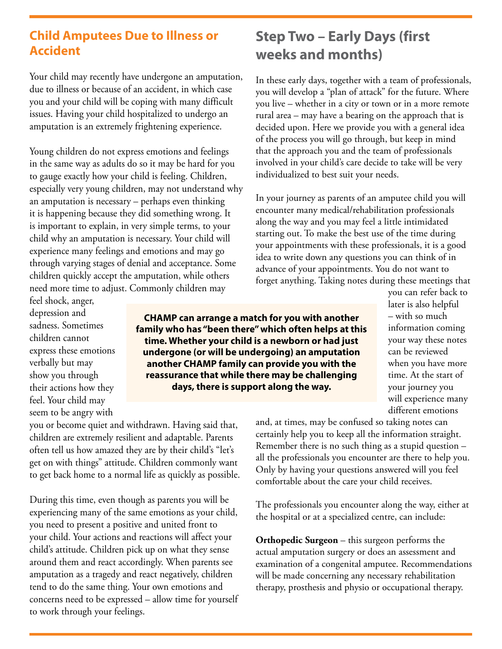#### **Child Amputees Due to Illness or Accident**

Your child may recently have undergone an amputation, due to illness or because of an accident, in which case you and your child will be coping with many difficult issues. Having your child hospitalized to undergo an amputation is an extremely frightening experience.

Young children do not express emotions and feelings in the same way as adults do so it may be hard for you to gauge exactly how your child is feeling. Children, especially very young children, may not understand why an amputation is necessary – perhaps even thinking it is happening because they did something wrong. It is important to explain, in very simple terms, to your child why an amputation is necessary. Your child will experience many feelings and emotions and may go through varying stages of denial and acceptance. Some children quickly accept the amputation, while others need more time to adjust. Commonly children may

## feel shock, anger, depression and sadness. Sometimes children cannot express these emotions verbally but may show you through

their actions how they feel. Your child may seem to be angry with

you or become quiet and withdrawn. Having said that, children are extremely resilient and adaptable. Parents often tell us how amazed they are by their child's "let's get on with things" attitude. Children commonly want to get back home to a normal life as quickly as possible.

During this time, even though as parents you will be experiencing many of the same emotions as your child, you need to present a positive and united front to your child. Your actions and reactions will affect your child's attitude. Children pick up on what they sense around them and react accordingly. When parents see amputation as a tragedy and react negatively, children tend to do the same thing. Your own emotions and concerns need to be expressed – allow time for yourself to work through your feelings.

# **Step Two – Early Days (first weeks and months)**

In these early days, together with a team of professionals, you will develop a "plan of attack" for the future. Where you live – whether in a city or town or in a more remote rural area – may have a bearing on the approach that is decided upon. Here we provide you with a general idea of the process you will go through, but keep in mind that the approach you and the team of professionals involved in your child's care decide to take will be very individualized to best suit your needs.

In your journey as parents of an amputee child you will encounter many medical/rehabilitation professionals along the way and you may feel a little intimidated starting out. To make the best use of the time during your appointments with these professionals, it is a good idea to write down any questions you can think of in advance of your appointments. You do not want to forget anything. Taking notes during these meetings that

**CHAMP can arrange a match for you with another family who has "been there" which often helps at this time. Whether your child is a newborn or had just undergone (or will be undergoing) an amputation another CHAMP family can provide you with the reassurance that while there may be challenging days, there is support along the way.**

you can refer back to later is also helpful – with so much information coming your way these notes can be reviewed when you have more time. At the start of your journey you will experience many different emotions

and, at times, may be confused so taking notes can certainly help you to keep all the information straight. Remember there is no such thing as a stupid question – all the professionals you encounter are there to help you. Only by having your questions answered will you feel comfortable about the care your child receives.

The professionals you encounter along the way, either at the hospital or at a specialized centre, can include:

**Orthopedic Surgeon** – this surgeon performs the actual amputation surgery or does an assessment and examination of a congenital amputee. Recommendations will be made concerning any necessary rehabilitation therapy, prosthesis and physio or occupational therapy.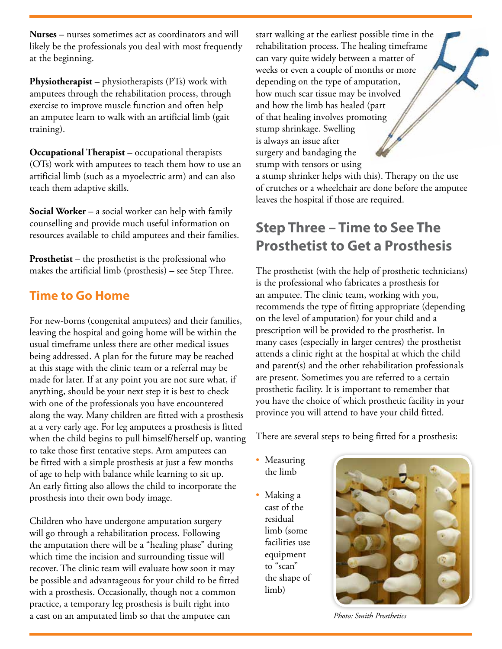**Nurses** – nurses sometimes act as coordinators and will likely be the professionals you deal with most frequently at the beginning.

**Physiotherapist** – physiotherapists (PTs) work with amputees through the rehabilitation process, through exercise to improve muscle function and often help an amputee learn to walk with an artificial limb (gait training).

**Occupational Therapist** – occupational therapists (OTs) work with amputees to teach them how to use an artificial limb (such as a myoelectric arm) and can also teach them adaptive skills.

**Social Worker** – a social worker can help with family counselling and provide much useful information on resources available to child amputees and their families.

**Prosthetist** – the prosthetist is the professional who makes the artificial limb (prosthesis) – see Step Three.

### **Time to Go Home**

For new-borns (congenital amputees) and their families, leaving the hospital and going home will be within the usual timeframe unless there are other medical issues being addressed. A plan for the future may be reached at this stage with the clinic team or a referral may be made for later. If at any point you are not sure what, if anything, should be your next step it is best to check with one of the professionals you have encountered along the way. Many children are fitted with a prosthesis at a very early age. For leg amputees a prosthesis is fitted when the child begins to pull himself/herself up, wanting to take those first tentative steps. Arm amputees can be fitted with a simple prosthesis at just a few months of age to help with balance while learning to sit up. An early fitting also allows the child to incorporate the prosthesis into their own body image.

Children who have undergone amputation surgery will go through a rehabilitation process. Following the amputation there will be a "healing phase" during which time the incision and surrounding tissue will recover. The clinic team will evaluate how soon it may be possible and advantageous for your child to be fitted with a prosthesis. Occasionally, though not a common practice, a temporary leg prosthesis is built right into a cast on an amputated limb so that the amputee can

start walking at the earliest possible time in the rehabilitation process. The healing timeframe can vary quite widely between a matter of weeks or even a couple of months or more depending on the type of amputation, how much scar tissue may be involved and how the limb has healed (part of that healing involves promoting stump shrinkage. Swelling is always an issue after surgery and bandaging the stump with tensors or using a stump shrinker helps with this). Therapy on the use of crutches or a wheelchair are done before the amputee

# **Step Three – Time to See The Prosthetist to Get a Prosthesis**

leaves the hospital if those are required.

The prosthetist (with the help of prosthetic technicians) is the professional who fabricates a prosthesis for an amputee. The clinic team, working with you, recommends the type of fitting appropriate (depending on the level of amputation) for your child and a prescription will be provided to the prosthetist. In many cases (especially in larger centres) the prosthetist attends a clinic right at the hospital at which the child and parent(s) and the other rehabilitation professionals are present. Sometimes you are referred to a certain prosthetic facility. It is important to remember that you have the choice of which prosthetic facility in your province you will attend to have your child fitted.

There are several steps to being fitted for a prosthesis:

- Measuring the limb
- Making a cast of the residual limb (some facilities use equipment to "scan" the shape of limb)



*Photo: Smith Prosthetics*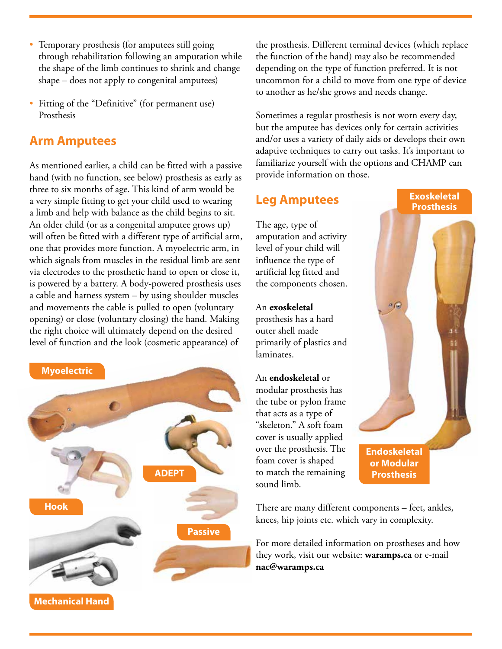- Temporary prosthesis (for amputees still going through rehabilitation following an amputation while the shape of the limb continues to shrink and change shape – does not apply to congenital amputees)
- Fitting of the "Definitive" (for permanent use) Prosthesis

#### **Arm Amputees**

As mentioned earlier, a child can be fitted with a passive hand (with no function, see below) prosthesis as early as three to six months of age. This kind of arm would be a very simple fitting to get your child used to wearing a limb and help with balance as the child begins to sit. An older child (or as a congenital amputee grows up) will often be fitted with a different type of artificial arm, one that provides more function. A myoelectric arm, in which signals from muscles in the residual limb are sent via electrodes to the prosthetic hand to open or close it, is powered by a battery. A body-powered prosthesis uses a cable and harness system – by using shoulder muscles and movements the cable is pulled to open (voluntary opening) or close (voluntary closing) the hand. Making the right choice will ultimately depend on the desired level of function and the look (cosmetic appearance) of



the prosthesis. Different terminal devices (which replace the function of the hand) may also be recommended depending on the type of function preferred. It is not uncommon for a child to move from one type of device to another as he/she grows and needs change.

Sometimes a regular prosthesis is not worn every day, but the amputee has devices only for certain activities and/or uses a variety of daily aids or develops their own adaptive techniques to carry out tasks. It's important to familiarize yourself with the options and CHAMP can provide information on those.

#### **Leg Amputees**

The age, type of amputation and activity level of your child will influence the type of artificial leg fitted and the components chosen.

An **exoskeletal** prosthesis has a hard outer shell made primarily of plastics and laminates.

An **endoskeletal** or modular prosthesis has the tube or pylon frame that acts as a type of "skeleton." A soft foam cover is usually applied over the prosthesis. The foam cover is shaped to match the remaining sound limb.

**Exoskeletal Prosthesis**

**Endoskeletal or Modular Prosthesis**

There are many different components – feet, ankles, knees, hip joints etc. which vary in complexity.

For more detailed information on prostheses and how they work, visit our website: **waramps.ca** or e-mail **nac@waramps.ca**